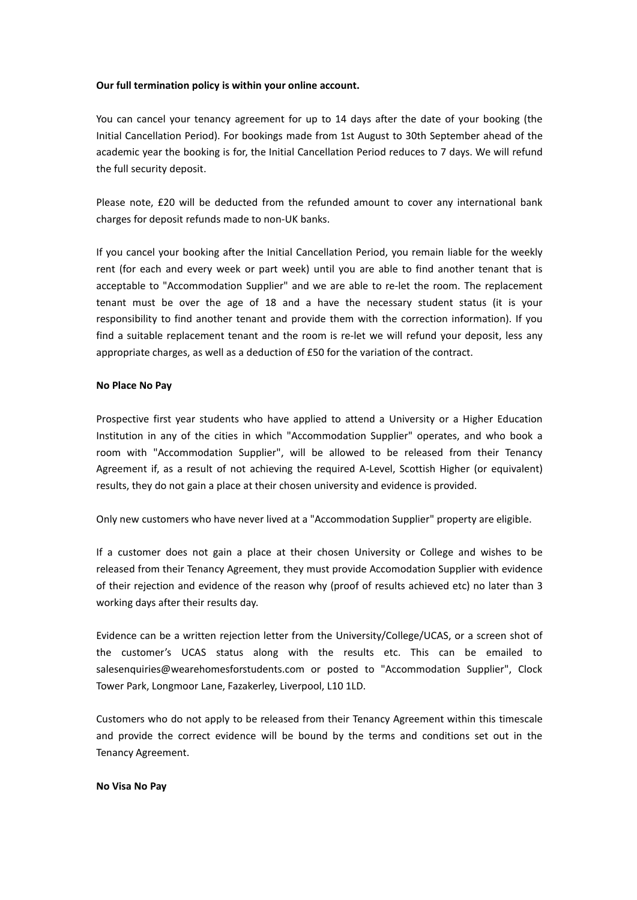## **Our full termination policy is within your online account.**

You can cancel your tenancy agreement for up to 14 days after the date of your booking (the Initial Cancellation Period). For bookings made from 1st August to 30th September ahead of the academic year the booking is for, the Initial Cancellation Period reduces to 7 days. We will refund the full security deposit.

Please note, £20 will be deducted from the refunded amount to cover any international bank charges for deposit refunds made to non-UK banks.

If you cancel your booking after the Initial Cancellation Period, you remain liable for the weekly rent (for each and every week or part week) until you are able to find another tenant that is acceptable to "Accommodation Supplier" and we are able to re-let the room. The replacement tenant must be over the age of 18 and a have the necessary student status (it is your responsibility to find another tenant and provide them with the correction information). If you find a suitable replacement tenant and the room is re-let we will refund your deposit, less any appropriate charges, as well as a deduction of £50 for the variation of the contract.

## **No Place No Pay**

Prospective first year students who have applied to attend a University or a Higher Education Institution in any of the cities in which "Accommodation Supplier" operates, and who book a room with "Accommodation Supplier", will be allowed to be released from their Tenancy Agreement if, as a result of not achieving the required A-Level, Scottish Higher (or equivalent) results, they do not gain a place at their chosen university and evidence is provided.

Only new customers who have never lived at a "Accommodation Supplier" property are eligible.

If a customer does not gain a place at their chosen University or College and wishes to be released from their Tenancy Agreement, they must provide Accomodation Supplier with evidence of their rejection and evidence of the reason why (proof of results achieved etc) no later than 3 working days after their results day.

Evidence can be a written rejection letter from the University/College/UCAS, or a screen shot of the customer's UCAS status along with the results etc. This can be emailed to salesenquiries@wearehomesforstudents.com or posted to "Accommodation Supplier", Clock Tower Park, Longmoor Lane, Fazakerley, Liverpool, L10 1LD.

Customers who do not apply to be released from their Tenancy Agreement within this timescale and provide the correct evidence will be bound by the terms and conditions set out in the Tenancy Agreement.

## **No Visa No Pay**